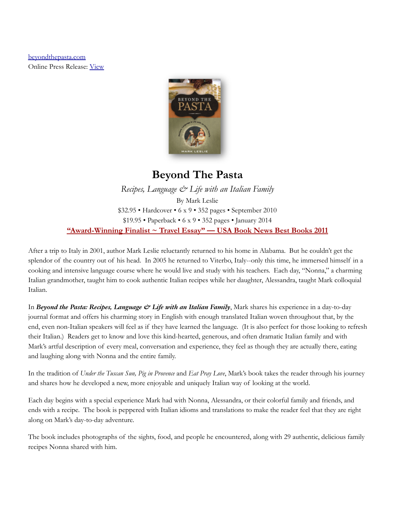[beyondthepasta.com](http://beyondthepasta.com) Online Press Release: [View](https://www.beyondthepasta.com/wp-content/uploads/Beyond-the-Pasta-Press-Release.pdf)



# **Beyond The Pasta**

*Recipes, Language & Life with an Italian Family* By Mark Leslie \$32.95 • Hardcover • 6 x 9 • 352 pages • September 2010 \$19.95 • Paperback • 6 x 9 • 352 pages • January 2014 **["Award-Winning Finalist ~ Travel Essay" — USA Book News Best Books 2011](http://www.usabooknews.com/travel.html)**

After a trip to Italy in 2001, author Mark Leslie reluctantly returned to his home in Alabama. But he couldn't get the splendor of the country out of his head. In 2005 he returned to Viterbo, Italy--only this time, he immersed himself in a cooking and intensive language course where he would live and study with his teachers. Each day, "Nonna," a charming Italian grandmother, taught him to cook authentic Italian recipes while her daughter, Alessandra, taught Mark colloquial Italian.

In *Beyond the Pasta: Recipes, Language & Life with an Italian Family*, Mark shares his experience in a day-to-day journal format and offers his charming story in English with enough translated Italian woven throughout that, by the end, even non-Italian speakers will feel as if they have learned the language. (It is also perfect for those looking to refresh their Italian.) Readers get to know and love this kind-hearted, generous, and often dramatic Italian family and with Mark's artful description of every meal, conversation and experience, they feel as though they are actually there, eating and laughing along with Nonna and the entire family.

In the tradition of *Under the Tuscan Sun, Pig in Provence* and *Eat Pray Love*, Mark's book takes the reader through his journey and shares how he developed a new, more enjoyable and uniquely Italian way of looking at the world.

Each day begins with a special experience Mark had with Nonna, Alessandra, or their colorful family and friends, and ends with a recipe. The book is peppered with Italian idioms and translations to make the reader feel that they are right along on Mark's day-to-day adventure.

The book includes photographs of the sights, food, and people he encountered, along with 29 authentic, delicious family recipes Nonna shared with him.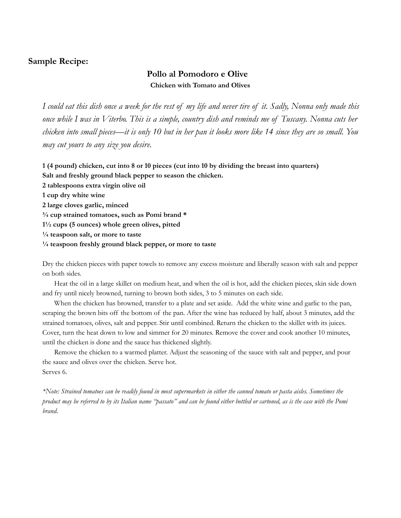# **Sample Recipe:**

# **Pollo al Pomodoro e Olive Chicken with Tomato and Olives**

I could eat this dish once a week for the rest of my life and never tire of it. Sadly, Nonna only made this once while I was in Viterbo. This is a simple, country dish and reminds me of Tuscany. Nonna cuts her chicken into small pieces—it is only 10 but in her pan it looks more like 14 since they are so small. You *may cut yours to any size you desire.*

1 (4 pound) chicken, cut into 8 or 10 pieces (cut into 10 by dividing the breast into quarters) **Salt and freshly ground black pepper to season the chicken. 2 tablespoons extra virgin olive oil 1 cup dry white wine 2 large cloves garlic, minced ¾ cup strained tomatoes, such as Pomi brand \* 1½ cups (5 ounces) whole green olives, pitted**

**¼ teaspoon salt, or more to taste**

**¼ teaspoon freshly ground black pepper, or more to taste**

Dry the chicken pieces with paper towels to remove any excess moisture and liberally season with salt and pepper on both sides.

Heat the oil in a large skillet on medium heat, and when the oil is hot, add the chicken pieces, skin side down and fry until nicely browned, turning to brown both sides, 3 to 5 minutes on each side.

When the chicken has browned, transfer to a plate and set aside. Add the white wine and garlic to the pan, scraping the brown bits off the bottom of the pan. After the wine has reduced by half, about 3 minutes, add the strained tomatoes, olives, salt and pepper. Stir until combined. Return the chicken to the skillet with its juices. Cover, turn the heat down to low and simmer for 20 minutes. Remove the cover and cook another 10 minutes, until the chicken is done and the sauce has thickened slightly.

Remove the chicken to a warmed platter. Adjust the seasoning of the sauce with salt and pepper, and pour the sauce and olives over the chicken. Serve hot. Serves 6.

\*Note: Strained tomatoes can be readily found in most supermarkets in either the canned tomato or pasta aisles. Sometimes the product may be referred to by its Italian name "passato" and can be found either bottled or cartoned, as is the case with the Pomi *brand.*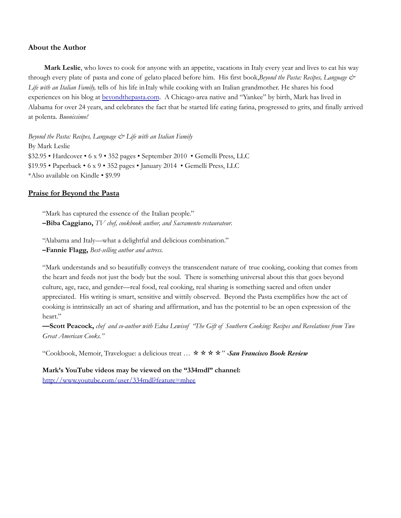#### **About the Author**

**Mark Leslie**, who loves to cook for anyone with an appetite, vacations in Italy every year and lives to eat his way through every plate of pasta and cone of gelato placed before him. His first book,*Beyond the Pasta: Recipes, Language & Life with an Italian Family,* tells of his life inItaly while cooking with an Italian grandmother. He shares his food experiences on his blog at [beyondthepasta.com](http://www.beyondthepasta.com/). A Chicago-area native and "Yankee" by birth, Mark has lived in Alabama for over 24 years, and celebrates the fact that he started life eating farina, progressed to grits, and finally arrived at polenta. *Buonissimo!*

*Beyond the Pasta: Recipes, Language & Life with an Italian Family* By Mark Leslie \$32.95 • Hardcover • 6 x 9 • 352 pages • September 2010 • Gemelli Press, LLC \$19.95 • Paperback • 6 x 9 • 352 pages • January 2014 • Gemelli Press, LLC \*Also available on Kindle • \$9.99

#### **Praise for Beyond the Pasta**

"Mark has captured the essence of the Italian people." **–Biba Caggiano,** *TV chef, cookbook author, and Sacramento restaurateur.*

"Alabama and Italy—what a delightful and delicious combination." **–Fannie Flagg,** *Best-selling author and actress.*

"Mark understands and so beautifully conveys the transcendent nature of true cooking, cooking that comes from the heart and feeds not just the body but the soul. There is something universal about this that goes beyond culture, age, race, and gender—real food, real cooking, real sharing is something sacred and often under appreciated. His writing is smart, sensitive and wittily observed. Beyond the Pasta exemplifies how the act of cooking is intrinsically an act of sharing and affirmation, and has the potential to be an open expression of the heart."

-Scott Peacock, chef and co-author with Edna Lewisof "The Gift of Southern Cooking: Recipes and Revelations from Two *Great American Cooks."*

"Cookbook, Memoir, Travelogue: a delicious treat … ✫✫✫✫" *-San Francisco Book Review*

**Mark's YouTube videos may be viewed on the "334mdl" channel:** <http://www.youtube.com/user/334mdl?feature=mhee>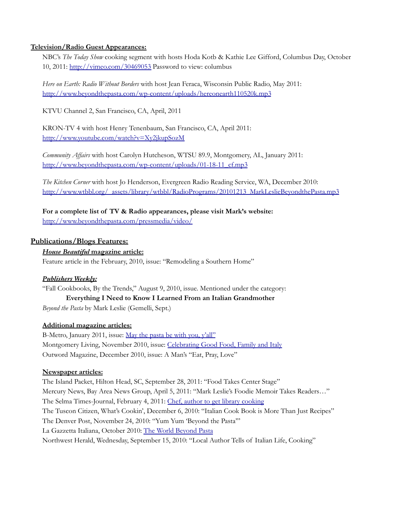#### **Television/Radio Guest Appearances:**

NBC's *The Today Show* cooking segment with hosts Hoda Kotb & Kathie Lee Gifford, Columbus Day, October 10, 2011: <http://vimeo.com/30469053> Password to view: columbus

*Here on Earth: Radio Without Borders* with host Jean Feraca, Wisconsin Public Radio, May 2011: <http://www.beyondthepasta.com/wp-content/uploads/hereonearth110520k.mp3>

KTVU Channel 2, San Francisco, CA, April, 2011

KRON-TV 4 with host Henry Tenenbaum, San Francisco, CA, April 2011: <http://www.youtube.com/watch?v=Xy2jkupSozM>

*Community Af airs* with host Carolyn Hutcheson, WTSU 89.9, Montgomery, AL, January 2011: [http://www.beyondthepasta.com/wp-content/uploads/01-18-11\\_cf.mp3](http://www.beyondthepasta.com/wp-content/uploads/01-18-11_cf.mp3)

*The Kitchen Corner* with host Jo Henderson, Evergreen Radio Reading Service, WA, December 2010: [http://www.wtbbl.org/\\_assets/library/wtbbl/RadioPrograms/20101213\\_MarkLeslieBeyondthePasta.mp3](http://www.wtbbl.org/_assets/library/wtbbl/RadioPrograms/20101213_MarkLeslieBeyondthePasta.mp3)

**For a complete list of TV & Radio appearances, please visit Mark's website:** <http://www.beyondthepasta.com/pressmedia/video/>

# **Publications/Blogs Features:**

## *House Beautiful* **magazine article:**

Feature article in the February, 2010, issue: "Remodeling a Southern Home"

## *Publishers Weekly:*

"Fall Cookbooks, By the Trends," August 9, 2010, issue. Mentioned under the category: **Everything I Need to Know I Learned From an Italian Grandmother**

*Beyond the Pasta* by Mark Leslie (Gemelli, Sept.)

## **Additional magazine articles:**

B-Metro, January 2011, issue: May the [pasta](http://www.beyondthepasta.com/wp-content/uploads/B-Metro-article-Jan-2011-Beyond-the-Pasta.pdf) be with you, y'all["](http://www.publishersweekly.com/pw/by-topic/book-news/cooking/article/44079-fall-cookbooks-by-the-trends.html) Montgomery Living, November 2010, issue: [Celebrating](http://www.beyondthepasta.com/wp-content/uploads/MontgLiving-MarkLeslie.pdf) Good Food, Family and Italy Outword Magazine, December 2010, issue: A Man's "Eat, Pray, Love"

#### **Newspaper articles:**

The Island Packet, Hilton Head, SC, September 28, 2011: "Food Takes Center Stage" Mercury News, Bay Area News Group, April 5, 2011: "Mark Leslie's Foodie Memoir Takes Readers…" The Selma Times-Journal, February 4, 2011: Chef, author to get library [cooking](http://www.selmatimesjournal.com/2011/02/04/chef-author-to-get-library-cooking/) The Tuscon Citizen, What's Cookin', December 6, 2010: "Italian Cook Book is More Than Just Recipes" The Denver Post, November 24, 2010: "Yum Yum 'Beyond the Pasta'" La Gazzetta Italiana, October 2010: The World [Beyond](http://www.beyondthepasta.com/wp-content/uploads/page19.pdf) Past[a](http://www.montgomeryadvertiser.com/article/20100915/LIFESTYLE/9150347/Beyond-pasta) Northwest Herald, Wednesday, September 15, 2010: "Local Author Tells of Italian Life, Cooking"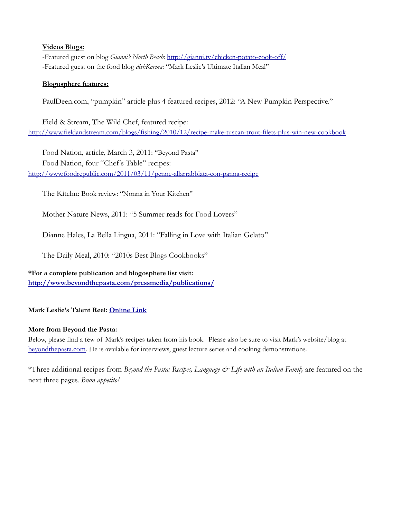#### **Videos Blogs:**

-Featured guest on blog *Gianni's North Beach*: <http://gianni.tv/chicken-potato-cook-off/> -Featured guest on the food blog *dishKarma*: "Mark Leslie's Ultimate Italian Meal"

#### **Blogosphere features:**

PaulDeen.com, "pumpkin" article plus 4 featured recipes, 2012: "A New Pumpkin Perspective."

Field & Stream, The Wild Chef, featured recipe: <http://www.fieldandstream.com/blogs/fishing/2010/12/recipe-make-tuscan-trout-filets-plus-win-new-cookbook>

Food Nation, article, March 3, 2011: "Beyond Pasta" Food Nation, four "Chef's Table" recipes: <http://www.foodrepublic.com/2011/03/11/penne-allarrabbiata-con-panna-recipe>

The Kitchn: Book review: "Nonna in Your Kitchen"

Mother Nature News, 2011: "5 Summer reads for Food Lovers"

Dianne Hales, La Bella Lingua, 2011: "Falling in Love with Italian Gelato"

The Daily Meal, 2010: "2010s Best Blogs Cookbooks"

**\*For a complete publication and blogosphere list visit: <http://www.beyondthepasta.com/pressmedia/publications/>**

## **Mark Leslie's Talent Reel: [Online](https://www.beyondthepasta.com/pressmedia/talent-reel/) Link**

#### **More from Beyond the Pasta:**

Below, please find a few of Mark's recipes taken from his book. Please also be sure to visit Mark's website/blog a[t](http://beyondthepasta.com) [beyondthepasta.com.](http://beyondthepasta.com) He is available for interviews, guest lecture series and cooking demonstrations.

\*Three additional recipes from *Beyond the Pasta: Recipes, Language & Life with an Italian Family* are featured on the next three pages. *Buon appetito!*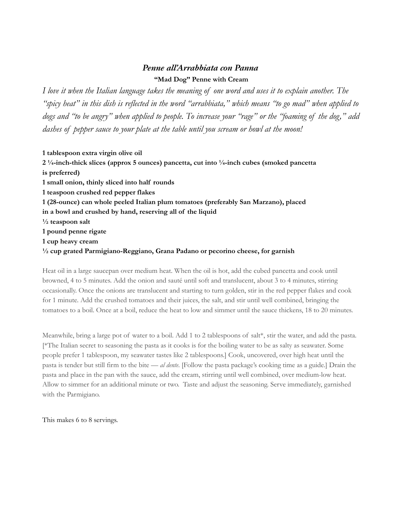# *Penne all'Arrabbiata con Panna* **"Mad Dog" Penne with Cream**

I love it when the Italian language takes the meaning of one word and uses it to explain another. The "spicy heat" in this dish is reflected in the word "arrabbiata," which means "to go mad" when applied to dogs and "to be angry" when applied to people. To increase your "rage" or the "foaming of the dog," add *dashes of pepper sauce to your plate at the table until you scream or howl at the moon!*

 **tablespoon extra virgin olive oil ¼-inch-thick slices (approx 5 ounces) pancetta, cut into ¼-inch cubes (smoked pancetta is preferred) small onion, thinly sliced into half rounds teaspoon crushed red pepper flakes (28-ounce) can whole peeled Italian plum tomatoes (preferably San Marzano), placed in a bowl and crushed by hand, reserving all of the liquid ½ teaspoon salt pound penne rigate cup heavy cream ½ cup grated Parmigiano-Reggiano, Grana Padano or pecorino cheese, for garnish**

Heat oil in a large saucepan over medium heat. When the oil is hot, add the cubed pancetta and cook until browned, 4 to 5 minutes. Add the onion and sauté until soft and translucent, about 3 to 4 minutes, stirring occasionally. Once the onions are translucent and starting to turn golden, stir in the red pepper flakes and cook for 1 minute. Add the crushed tomatoes and their juices, the salt, and stir until well combined, bringing the tomatoes to a boil. Once at a boil, reduce the heat to low and simmer until the sauce thickens, 18 to 20 minutes.

Meanwhile, bring a large pot of water to a boil. Add 1 to 2 tablespoons of salt\*, stir the water, and add the pasta. [\*The Italian secret to seasoning the pasta as it cooks is for the boiling water to be as salty as seawater. Some people prefer 1 tablespoon, my seawater tastes like 2 tablespoons.] Cook, uncovered, over high heat until the pasta is tender but still firm to the bite — *al dente*. [Follow the pasta package's cooking time as a guide.] Drain the pasta and place in the pan with the sauce, add the cream, stirring until well combined, over medium-low heat. Allow to simmer for an additional minute or two. Taste and adjust the seasoning. Serve immediately, garnished with the Parmigiano.

This makes 6 to 8 servings.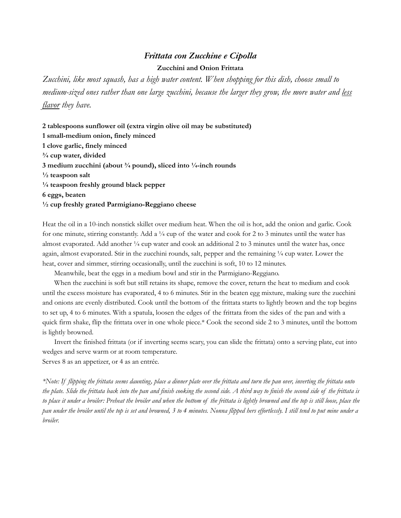#### *Frittata con Zucchine e Cipolla*

#### **Zucchini and Onion Frittata**

*Zucchini, like most squash, has a high water content. When shopping for this dish, choose small to medium-sized ones rather than one large zucchini, because the larger they grow, the more water and less flavor they have.*

**2 tablespoons sunflower oil (extra virgin olive oil may be substituted) 1 small-medium onion, finely minced 1 clove garlic, finely minced ¾ cup water, divided 3 medium zucchini (about ¾ pound), sliced into ¼-inch rounds ½ teaspoon salt ¼ teaspoon freshly ground black pepper 6 eggs, beaten ½ cup freshly grated Parmigiano-Reggiano cheese**

Heat the oil in a 10-inch nonstick skillet over medium heat. When the oil is hot, add the onion and garlic. Cook for one minute, stirring constantly. Add a  $\frac{1}{4}$  cup of the water and cook for 2 to 3 minutes until the water has almost evaporated. Add another ¼ cup water and cook an additional 2 to 3 minutes until the water has, once again, almost evaporated. Stir in the zucchini rounds, salt, pepper and the remaining ¼ cup water. Lower the heat, cover and simmer, stirring occasionally, until the zucchini is soft, 10 to 12 minutes.

Meanwhile, beat the eggs in a medium bowl and stir in the Parmigiano-Reggiano.

When the zucchini is soft but still retains its shape, remove the cover, return the heat to medium and cook until the excess moisture has evaporated, 4 to 6 minutes. Stir in the beaten egg mixture, making sure the zucchini and onions are evenly distributed. Cook until the bottom of the frittata starts to lightly brown and the top begins to set up, 4 to 6 minutes. With a spatula, loosen the edges of the frittata from the sides of the pan and with a quick firm shake, flip the frittata over in one whole piece.\* Cook the second side 2 to 3 minutes, until the bottom is lightly browned.

Invert the finished frittata (or if inverting seems scary, you can slide the frittata) onto a serving plate, cut into wedges and serve warm or at room temperature.

Serves 8 as an appetizer, or 4 as an entrée.

\*Note: If flipping the frittata seems daunting, place a dinner plate over the frittata and turn the pan over, inverting the frittata onto the plate. Slide the frittata back into the pan and finish cooking the second side. A third way to finish the second side of the frittata is to place it under a broiler: Preheat the broiler and when the bottom of the frittata is lightly browned and the top is still loose, place the pan under the broiler until the top is set and browned, 3 to 4 minutes. Nonna flipped hers effortlessly. I still tend to put mine under a *broiler.*